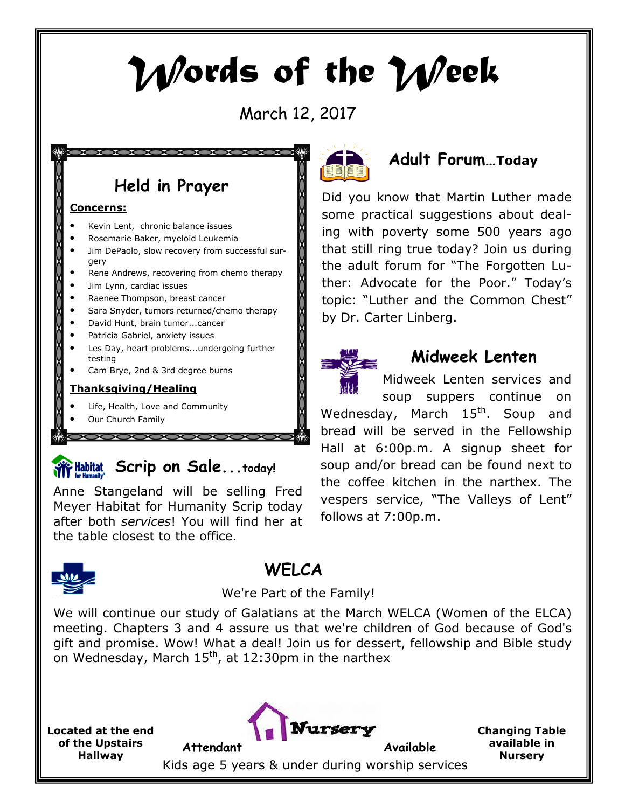# Words of the Week

March 12, 2017

## Held in Prayer

X

#### Concerns:

- Kevin Lent, chronic balance issues
- Rosemarie Baker, myeloid Leukemia
- Jim DePaolo, slow recovery from successful surgery
- Rene Andrews, recovering from chemo therapy
- Jim Lynn, cardiac issues
- Raenee Thompson, breast cancer
- Sara Snyder, tumors returned/chemo therapy
- David Hunt, brain tumor...cancer
- Patricia Gabriel, anxiety issues
- Les Day, heart problems...undergoing further testing
- Cam Brye, 2nd & 3rd degree burns

#### Thanksgiving/Healing

Life, Health, Love and Community

COOOO

Our Church Family

# **Some Habitat** Scrip on Sale...today!

Anne Stangeland will be selling Fred Meyer Habitat for Humanity Scrip today after both services! You will find her at the table closest to the office.



## **WFLCA**

#### We're Part of the Family!

We will continue our study of Galatians at the March WELCA (Women of the ELCA) meeting. Chapters 3 and 4 assure us that we're children of God because of God's gift and promise. Wow! What a deal! Join us for dessert, fellowship and Bible study on Wednesday, March  $15<sup>th</sup>$ , at 12:30pm in the narthex

Located at the end of the Upstairs Hallway



Changing Table available in **Nursery** 

Kids age 5 years & under during worship services



## Adult Forum…Today

Did you know that Martin Luther made some practical suggestions about dealing with poverty some 500 years ago that still ring true today? Join us during the adult forum for "The Forgotten Luther: Advocate for the Poor." Today's topic: "Luther and the Common Chest" by Dr. Carter Linberg.



## Midweek Lenten

Midweek Lenten services and soup suppers continue on Wednesday, March  $15<sup>th</sup>$ . Soup and bread will be served in the Fellowship Hall at 6:00p.m. A signup sheet for soup and/or bread can be found next to the coffee kitchen in the narthex. The vespers service, "The Valleys of Lent" follows at 7:00p.m.